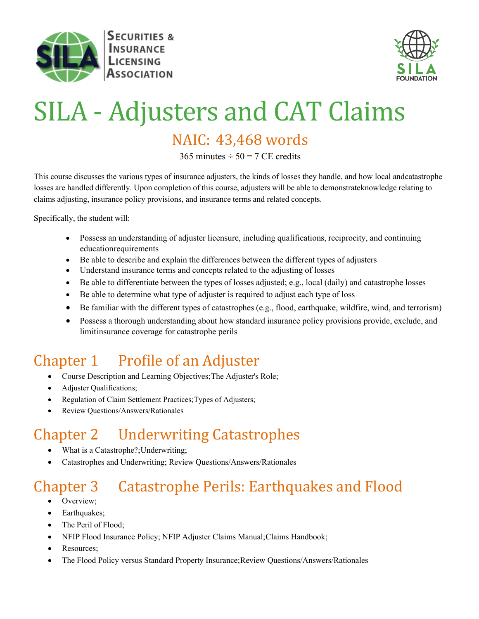



# SILA - Adjusters and CAT Claims

#### NAIC: 43,468 words

 $365$  minutes  $\div$  50 = 7 CE credits

This course discusses the various types of insurance adjusters, the kinds of losses they handle, and how local andcatastrophe losses are handled differently. Upon completion of this course, adjusters will be able to demonstrateknowledge relating to claims adjusting, insurance policy provisions, and insurance terms and related concepts.

Specifically, the student will:

- Possess an understanding of adjuster licensure, including qualifications, reciprocity, and continuing educationrequirements
- Be able to describe and explain the differences between the different types of adjusters
- Understand insurance terms and concepts related to the adjusting of losses
- Be able to differentiate between the types of losses adjusted; e.g., local (daily) and catastrophe losses
- Be able to determine what type of adjuster is required to adjust each type of loss
- Be familiar with the different types of catastrophes (e.g., flood, earthquake, wildfire, wind, and terrorism)
- Possess a thorough understanding about how standard insurance policy provisions provide, exclude, and limitinsurance coverage for catastrophe perils

## Chapter 1 Profile of an Adjuster • Course Description and Learning Objectives; The Adjuster's Role;

- 
- Adjuster Qualifications;
- Regulation of Claim Settlement Practices;Types of Adjusters;
- Review Questions/Answers/Rationales

### Chapter 2 Underwriting Catastrophes<br>• What is a Catastrophe?;Underwriting;

- 
- Catastrophes and Underwriting; Review Questions/Answers/Rationales

#### Chapter 3 Catastrophe Perils: Earthquakes and Flood • Overview;

- 
- Earthquakes;
- The Peril of Flood;
- NFIP Flood Insurance Policy; NFIP Adjuster Claims Manual;Claims Handbook;
- Resources:
- The Flood Policy versus Standard Property Insurance; Review Questions/Answers/Rationales